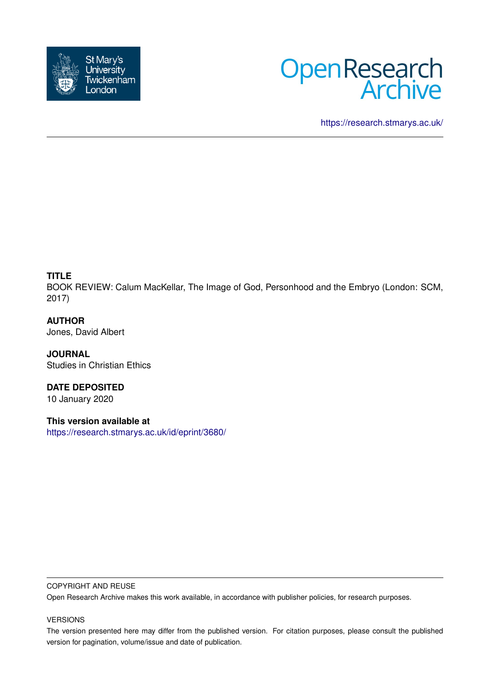



<https://research.stmarys.ac.uk/>

## **TITLE**

BOOK REVIEW: Calum MacKellar, The Image of God, Personhood and the Embryo (London: SCM, 2017)

**AUTHOR** Jones, David Albert

**JOURNAL** Studies in Christian Ethics

**DATE DEPOSITED** 10 January 2020

**This version available at** <https://research.stmarys.ac.uk/id/eprint/3680/>

## COPYRIGHT AND REUSE

Open Research Archive makes this work available, in accordance with publisher policies, for research purposes.

## VERSIONS

The version presented here may differ from the published version. For citation purposes, please consult the published version for pagination, volume/issue and date of publication.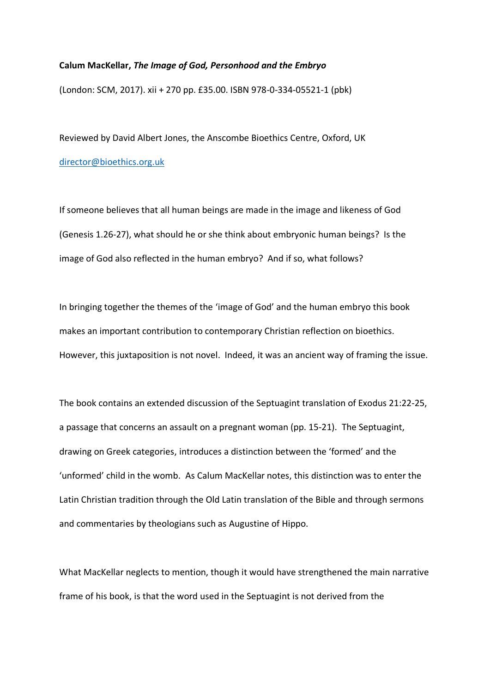## **Calum MacKellar,** *The Image of God, Personhood and the Embryo*

(London: SCM, 2017). xii + 270 pp. £35.00. ISBN 978-0-334-05521-1 (pbk)

Reviewed by David Albert Jones, the Anscombe Bioethics Centre, Oxford, UK [director@bioethics.org.uk](mailto:director@bioethics.org.uk) 

If someone believes that all human beings are made in the image and likeness of God (Genesis 1.26-27), what should he or she think about embryonic human beings? Is the image of God also reflected in the human embryo? And if so, what follows?

In bringing together the themes of the 'image of God' and the human embryo this book makes an important contribution to contemporary Christian reflection on bioethics. However, this juxtaposition is not novel. Indeed, it was an ancient way of framing the issue.

The book contains an extended discussion of the Septuagint translation of Exodus 21:22-25, a passage that concerns an assault on a pregnant woman (pp. 15-21). The Septuagint, drawing on Greek categories, introduces a distinction between the 'formed' and the 'unformed' child in the womb. As Calum MacKellar notes, this distinction was to enter the Latin Christian tradition through the Old Latin translation of the Bible and through sermons and commentaries by theologians such as Augustine of Hippo.

What MacKellar neglects to mention, though it would have strengthened the main narrative frame of his book, is that the word used in the Septuagint is not derived from the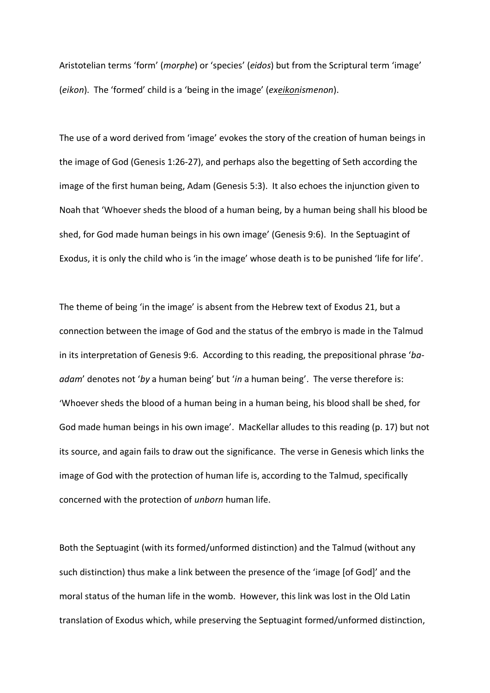Aristotelian terms 'form' (*morphe*) or 'species' (*eidos*) but from the Scriptural term 'image' (*eikon*). The 'formed' child is a 'being in the image' (*exeikonismenon*).

The use of a word derived from 'image' evokes the story of the creation of human beings in the image of God (Genesis 1:26-27), and perhaps also the begetting of Seth according the image of the first human being, Adam (Genesis 5:3). It also echoes the injunction given to Noah that 'Whoever sheds the blood of a human being, by a human being shall his blood be shed, for God made human beings in his own image' (Genesis 9:6). In the Septuagint of Exodus, it is only the child who is 'in the image' whose death is to be punished 'life for life'.

The theme of being 'in the image' is absent from the Hebrew text of Exodus 21, but a connection between the image of God and the status of the embryo is made in the Talmud in its interpretation of Genesis 9:6. According to this reading, the prepositional phrase '*baadam*' denotes not '*by* a human being' but '*in* a human being'. The verse therefore is: 'Whoever sheds the blood of a human being in a human being, his blood shall be shed, for God made human beings in his own image'. MacKellar alludes to this reading (p. 17) but not its source, and again fails to draw out the significance. The verse in Genesis which links the image of God with the protection of human life is, according to the Talmud, specifically concerned with the protection of *unborn* human life.

Both the Septuagint (with its formed/unformed distinction) and the Talmud (without any such distinction) thus make a link between the presence of the 'image [of God]' and the moral status of the human life in the womb. However, this link was lost in the Old Latin translation of Exodus which, while preserving the Septuagint formed/unformed distinction,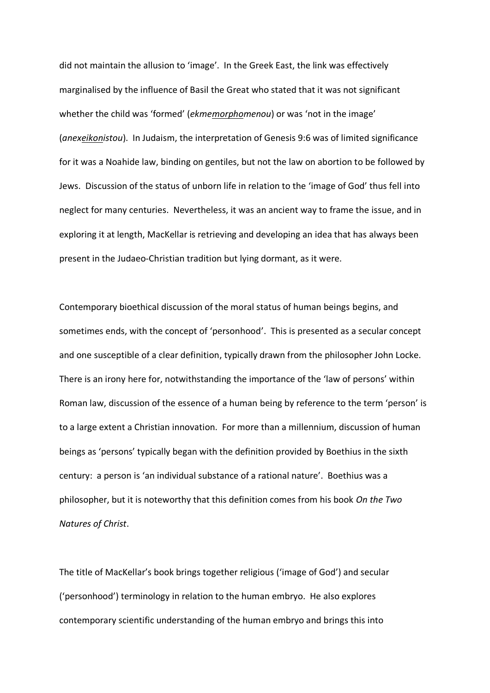did not maintain the allusion to 'image'. In the Greek East, the link was effectively marginalised by the influence of Basil the Great who stated that it was not significant whether the child was 'formed' (*ekmemorphomenou*) or was 'not in the image' (*anexeikonistou*). In Judaism, the interpretation of Genesis 9:6 was of limited significance for it was a Noahide law, binding on gentiles, but not the law on abortion to be followed by Jews. Discussion of the status of unborn life in relation to the 'image of God' thus fell into neglect for many centuries. Nevertheless, it was an ancient way to frame the issue, and in exploring it at length, MacKellar is retrieving and developing an idea that has always been present in the Judaeo-Christian tradition but lying dormant, as it were.

Contemporary bioethical discussion of the moral status of human beings begins, and sometimes ends, with the concept of 'personhood'. This is presented as a secular concept and one susceptible of a clear definition, typically drawn from the philosopher John Locke. There is an irony here for, notwithstanding the importance of the 'law of persons' within Roman law, discussion of the essence of a human being by reference to the term 'person' is to a large extent a Christian innovation. For more than a millennium, discussion of human beings as 'persons' typically began with the definition provided by Boethius in the sixth century: a person is 'an individual substance of a rational nature'. Boethius was a philosopher, but it is noteworthy that this definition comes from his book *On the Two Natures of Christ*.

The title of MacKellar's book brings together religious ('image of God') and secular ('personhood') terminology in relation to the human embryo. He also explores contemporary scientific understanding of the human embryo and brings this into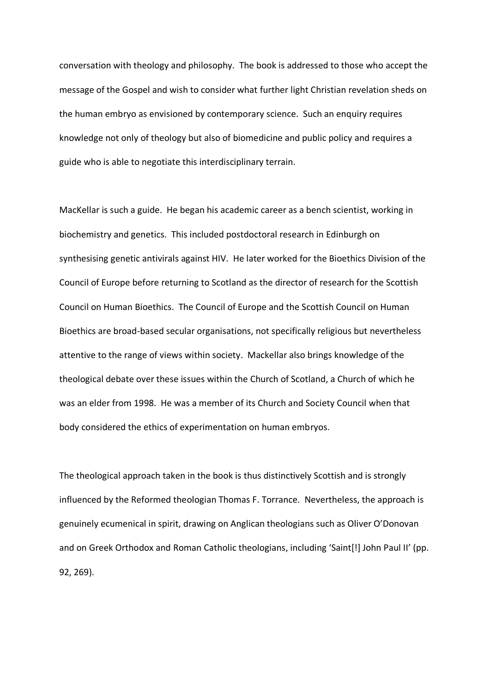conversation with theology and philosophy. The book is addressed to those who accept the message of the Gospel and wish to consider what further light Christian revelation sheds on the human embryo as envisioned by contemporary science. Such an enquiry requires knowledge not only of theology but also of biomedicine and public policy and requires a guide who is able to negotiate this interdisciplinary terrain.

MacKellar is such a guide. He began his academic career as a bench scientist, working in biochemistry and genetics. This included postdoctoral research in Edinburgh on synthesising genetic antivirals against HIV. He later worked for the Bioethics Division of the Council of Europe before returning to Scotland as the director of research for the Scottish Council on Human Bioethics. The Council of Europe and the Scottish Council on Human Bioethics are broad-based secular organisations, not specifically religious but nevertheless attentive to the range of views within society. Mackellar also brings knowledge of the theological debate over these issues within the Church of Scotland, a Church of which he was an elder from 1998. He was a member of its Church and Society Council when that body considered the ethics of experimentation on human embryos.

The theological approach taken in the book is thus distinctively Scottish and is strongly influenced by the Reformed theologian Thomas F. Torrance. Nevertheless, the approach is genuinely ecumenical in spirit, drawing on Anglican theologians such as Oliver O'Donovan and on Greek Orthodox and Roman Catholic theologians, including 'Saint[!] John Paul II' (pp. 92, 269).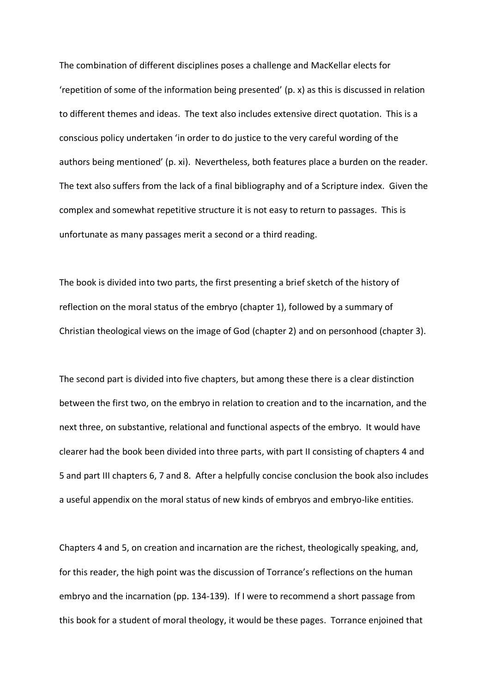The combination of different disciplines poses a challenge and MacKellar elects for 'repetition of some of the information being presented' (p. x) as this is discussed in relation to different themes and ideas. The text also includes extensive direct quotation. This is a conscious policy undertaken 'in order to do justice to the very careful wording of the authors being mentioned' (p. xi). Nevertheless, both features place a burden on the reader. The text also suffers from the lack of a final bibliography and of a Scripture index. Given the complex and somewhat repetitive structure it is not easy to return to passages. This is unfortunate as many passages merit a second or a third reading.

The book is divided into two parts, the first presenting a brief sketch of the history of reflection on the moral status of the embryo (chapter 1), followed by a summary of Christian theological views on the image of God (chapter 2) and on personhood (chapter 3).

The second part is divided into five chapters, but among these there is a clear distinction between the first two, on the embryo in relation to creation and to the incarnation, and the next three, on substantive, relational and functional aspects of the embryo. It would have clearer had the book been divided into three parts, with part II consisting of chapters 4 and 5 and part III chapters 6, 7 and 8. After a helpfully concise conclusion the book also includes a useful appendix on the moral status of new kinds of embryos and embryo-like entities.

Chapters 4 and 5, on creation and incarnation are the richest, theologically speaking, and, for this reader, the high point was the discussion of Torrance's reflections on the human embryo and the incarnation (pp. 134-139). If I were to recommend a short passage from this book for a student of moral theology, it would be these pages. Torrance enjoined that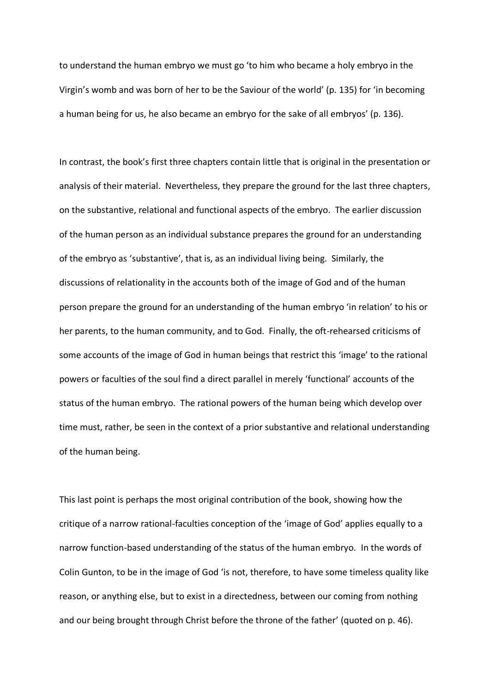to understand the human embryo we must go 'to him who became a holy embryo in the Virgin's womb and was born of her to be the Saviour of the world' (p. 135) for 'in becoming a human being for us, he also became an embryo for the sake of all embryos' (p. 136).

In contrast, the book's first three chapters contain little that is original in the presentation or analysis of their material. Nevertheless, they prepare the ground for the last three chapters, on the substantive, relational and functional aspects of the embryo. The earlier discussion of the human person as an individual substance prepares the ground for an understanding of the embryo as 'substantive', that is, as an individual living being. Similarly, the discussions of relationality in the accounts both of the image of God and of the human person prepare the ground for an understanding of the human embryo 'in relation' to his or her parents, to the human community, and to God. Finally, the oft-rehearsed criticisms of some accounts of the image of God in human beings that restrict this 'image' to the rational powers or faculties of the soul find a direct parallel in merely 'functional' accounts of the status of the human embryo. The rational powers of the human being which develop over time must, rather, be seen in the context of a prior substantive and relational understanding of the human being.

This last point is perhaps the most original contribution of the book, showing how the critique of a narrow rational-faculties conception of the 'image of God' applies equally to a narrow function-based understanding of the status of the human embryo. In the words of Colin Gunton, to be in the image of God 'is not, therefore, to have some timeless quality like reason, or anything else, but to exist in a directedness, between our coming from nothing and our being brought through Christ before the throne of the father' (quoted on p. 46).